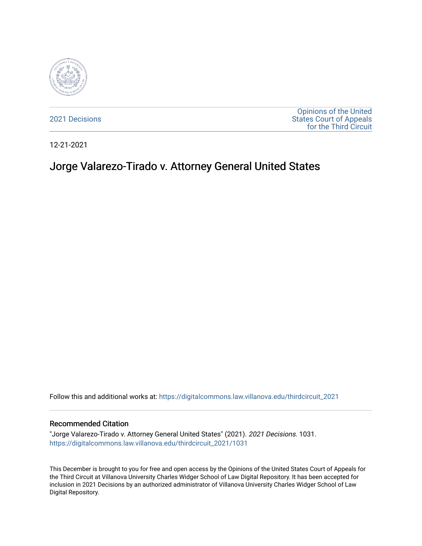

[2021 Decisions](https://digitalcommons.law.villanova.edu/thirdcircuit_2021)

[Opinions of the United](https://digitalcommons.law.villanova.edu/thirdcircuit)  [States Court of Appeals](https://digitalcommons.law.villanova.edu/thirdcircuit)  [for the Third Circuit](https://digitalcommons.law.villanova.edu/thirdcircuit) 

12-21-2021

# Jorge Valarezo-Tirado v. Attorney General United States

Follow this and additional works at: [https://digitalcommons.law.villanova.edu/thirdcircuit\\_2021](https://digitalcommons.law.villanova.edu/thirdcircuit_2021?utm_source=digitalcommons.law.villanova.edu%2Fthirdcircuit_2021%2F1031&utm_medium=PDF&utm_campaign=PDFCoverPages) 

#### Recommended Citation

"Jorge Valarezo-Tirado v. Attorney General United States" (2021). 2021 Decisions. 1031. [https://digitalcommons.law.villanova.edu/thirdcircuit\\_2021/1031](https://digitalcommons.law.villanova.edu/thirdcircuit_2021/1031?utm_source=digitalcommons.law.villanova.edu%2Fthirdcircuit_2021%2F1031&utm_medium=PDF&utm_campaign=PDFCoverPages) 

This December is brought to you for free and open access by the Opinions of the United States Court of Appeals for the Third Circuit at Villanova University Charles Widger School of Law Digital Repository. It has been accepted for inclusion in 2021 Decisions by an authorized administrator of Villanova University Charles Widger School of Law Digital Repository.